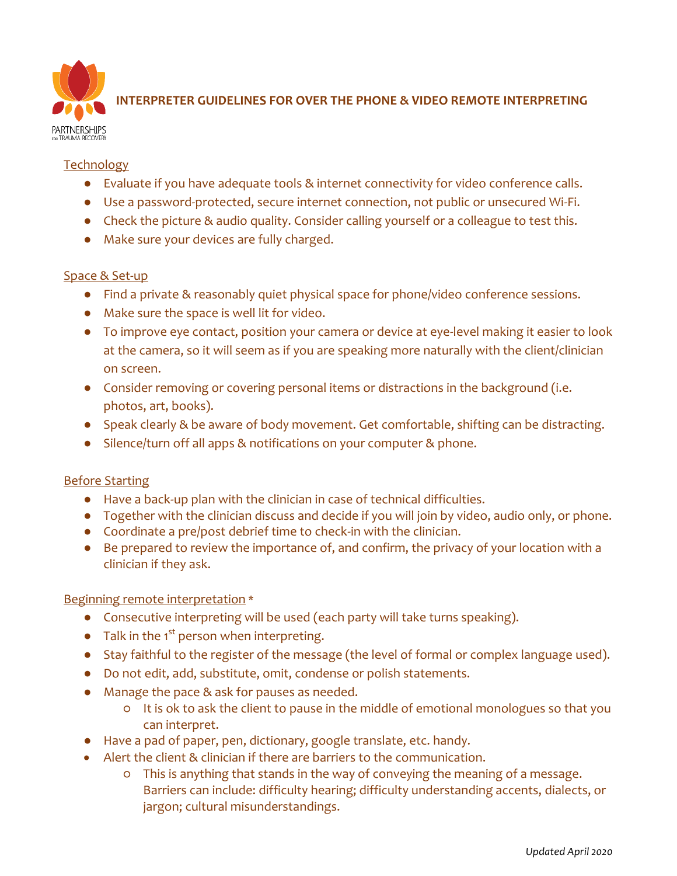

# **INTERPRETER GUIDELINES FOR OVER THE PHONE & VIDEO REMOTE INTERPRETING**

#### **Technology**

- Evaluate if you have adequate tools & internet connectivity for video conference calls.
- Use a password-protected, secure internet connection, not public or unsecured Wi-Fi.
- Check the picture & audio quality. Consider calling yourself or a colleague to test this.
- Make sure your devices are fully charged.

#### Space & Set-up

- Find a private & reasonably quiet physical space for phone/video conference sessions.
- Make sure the space is well lit for video.
- To improve eye contact, position your camera or device at eye-level making it easier to look at the camera, so it will seem as if you are speaking more naturally with the client/clinician on screen.
- Consider removing or covering personal items or distractions in the background (i.e. photos, art, books).
- Speak clearly & be aware of body movement. Get comfortable, shifting can be distracting.
- Silence/turn off all apps & notifications on your computer & phone.

# Before Starting

- Have a back-up plan with the clinician in case of technical difficulties.
- Together with the clinician discuss and decide if you will join by video, audio only, or phone.
- Coordinate a pre/post debrief time to check-in with the clinician.
- Be prepared to review the importance of, and confirm, the privacy of your location with a clinician if they ask.

# Beginning remote interpretation \*

- Consecutive interpreting will be used (each party will take turns speaking).
- $\bullet$  Talk in the 1<sup>st</sup> person when interpreting.
- Stay faithful to the register of the message (the level of formal or complex language used).
- Do not edit, add, substitute, omit, condense or polish statements.
- Manage the pace & ask for pauses as needed.
	- It is ok to ask the client to pause in the middle of emotional monologues so that you can interpret.
- Have a pad of paper, pen, dictionary, google translate, etc. handy.
- Alert the client & clinician if there are barriers to the communication.
	- This is anything that stands in the way of conveying the meaning of a message. Barriers can include: difficulty hearing; difficulty understanding accents, dialects, or jargon; cultural misunderstandings.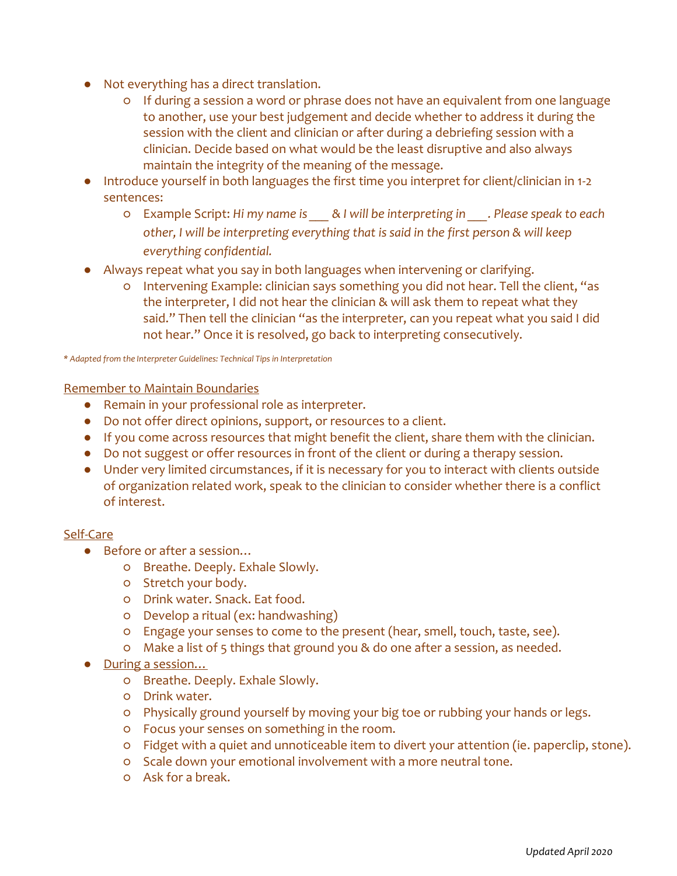- Not everything has a direct translation.
	- If during a session a word or phrase does not have an equivalent from one language to another, use your best judgement and decide whether to address it during the session with the client and clinician or after during a debriefing session with a clinician. Decide based on what would be the least disruptive and also always maintain the integrity of the meaning of the message.
- Introduce yourself in both languages the first time you interpret for client/clinician in 1-2 sentences:
	- Example Script: *Hi my name is \_\_\_ & I will be interpreting in \_\_\_. Please speak to each other, I will be interpreting everything that is said in the first person & will keep everything confidential.*
- Always repeat what you say in both languages when intervening or clarifying.
	- Intervening Example: clinician says something you did not hear. Tell the client, "as the interpreter, I did not hear the clinician & will ask them to repeat what they said." Then tell the clinician "as the interpreter, can you repeat what you said I did not hear." Once it is resolved, go back to interpreting consecutively.

*\* Adapted from the Interpreter Guidelines: Technical Tips in Interpretation*

Remember to Maintain Boundaries

- Remain in your professional role as interpreter.
- Do not offer direct opinions, support, or resources to a client.
- If you come across resources that might benefit the client, share them with the clinician.
- Do not suggest or offer resources in front of the client or during a therapy session.
- Under very limited circumstances, if it is necessary for you to interact with clients outside of organization related work, speak to the clinician to consider whether there is a conflict of interest.

# Self-Care

- Before or after a session...
	- Breathe. Deeply. Exhale Slowly.
	- Stretch your body.
	- Drink water. Snack. Eat food.
	- Develop a ritual (ex: handwashing)
	- Engage your senses to come to the present (hear, smell, touch, taste, see).
	- Make a list of 5 things that ground you & do one after a session, as needed.
- During a session...
	- Breathe. Deeply. Exhale Slowly.
	- Drink water.
	- Physically ground yourself by moving your big toe or rubbing your hands or legs.
	- Focus your senses on something in the room.
	- Fidget with a quiet and unnoticeable item to divert your attention (ie. paperclip, stone).
	- Scale down your emotional involvement with a more neutral tone.
	- Ask for a break.